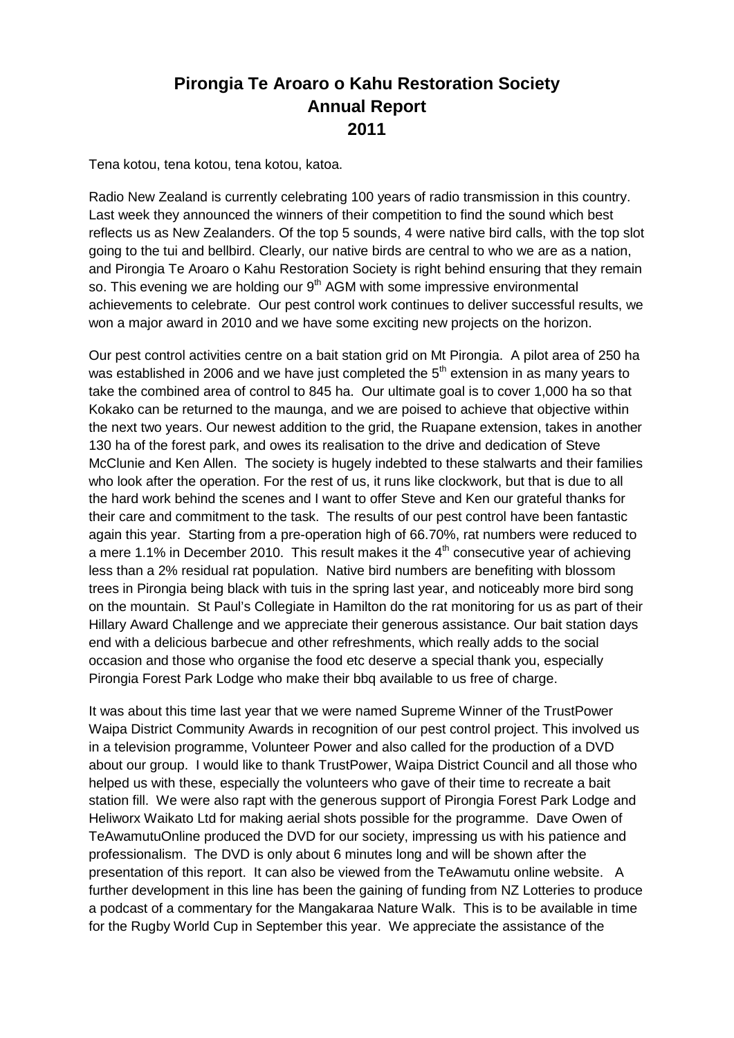## **Pirongia Te Aroaro o Kahu Restoration Society Annual Report 2011**

Tena kotou, tena kotou, tena kotou, katoa.

Radio New Zealand is currently celebrating 100 years of radio transmission in this country. Last week they announced the winners of their competition to find the sound which best reflects us as New Zealanders. Of the top 5 sounds, 4 were native bird calls, with the top slot going to the tui and bellbird. Clearly, our native birds are central to who we are as a nation, and Pirongia Te Aroaro o Kahu Restoration Society is right behind ensuring that they remain so. This evening we are holding our 9<sup>th</sup> AGM with some impressive environmental achievements to celebrate. Our pest control work continues to deliver successful results, we won a major award in 2010 and we have some exciting new projects on the horizon.

Our pest control activities centre on a bait station grid on Mt Pirongia. A pilot area of 250 ha was established in 2006 and we have just completed the  $5<sup>th</sup>$  extension in as many years to take the combined area of control to 845 ha. Our ultimate goal is to cover 1,000 ha so that Kokako can be returned to the maunga, and we are poised to achieve that objective within the next two years. Our newest addition to the grid, the Ruapane extension, takes in another 130 ha of the forest park, and owes its realisation to the drive and dedication of Steve McClunie and Ken Allen. The society is hugely indebted to these stalwarts and their families who look after the operation. For the rest of us, it runs like clockwork, but that is due to all the hard work behind the scenes and I want to offer Steve and Ken our grateful thanks for their care and commitment to the task. The results of our pest control have been fantastic again this year. Starting from a pre-operation high of 66.70%, rat numbers were reduced to a mere 1.1% in December 2010. This result makes it the  $4<sup>th</sup>$  consecutive year of achieving less than a 2% residual rat population. Native bird numbers are benefiting with blossom trees in Pirongia being black with tuis in the spring last year, and noticeably more bird song on the mountain. St Paul's Collegiate in Hamilton do the rat monitoring for us as part of their Hillary Award Challenge and we appreciate their generous assistance. Our bait station days end with a delicious barbecue and other refreshments, which really adds to the social occasion and those who organise the food etc deserve a special thank you, especially Pirongia Forest Park Lodge who make their bbq available to us free of charge.

It was about this time last year that we were named Supreme Winner of the TrustPower Waipa District Community Awards in recognition of our pest control project. This involved us in a television programme, Volunteer Power and also called for the production of a DVD about our group. I would like to thank TrustPower, Waipa District Council and all those who helped us with these, especially the volunteers who gave of their time to recreate a bait station fill. We were also rapt with the generous support of Pirongia Forest Park Lodge and Heliworx Waikato Ltd for making aerial shots possible for the programme. Dave Owen of TeAwamutuOnline produced the DVD for our society, impressing us with his patience and professionalism. The DVD is only about 6 minutes long and will be shown after the presentation of this report. It can also be viewed from the TeAwamutu online website. A further development in this line has been the gaining of funding from NZ Lotteries to produce a podcast of a commentary for the Mangakaraa Nature Walk. This is to be available in time for the Rugby World Cup in September this year. We appreciate the assistance of the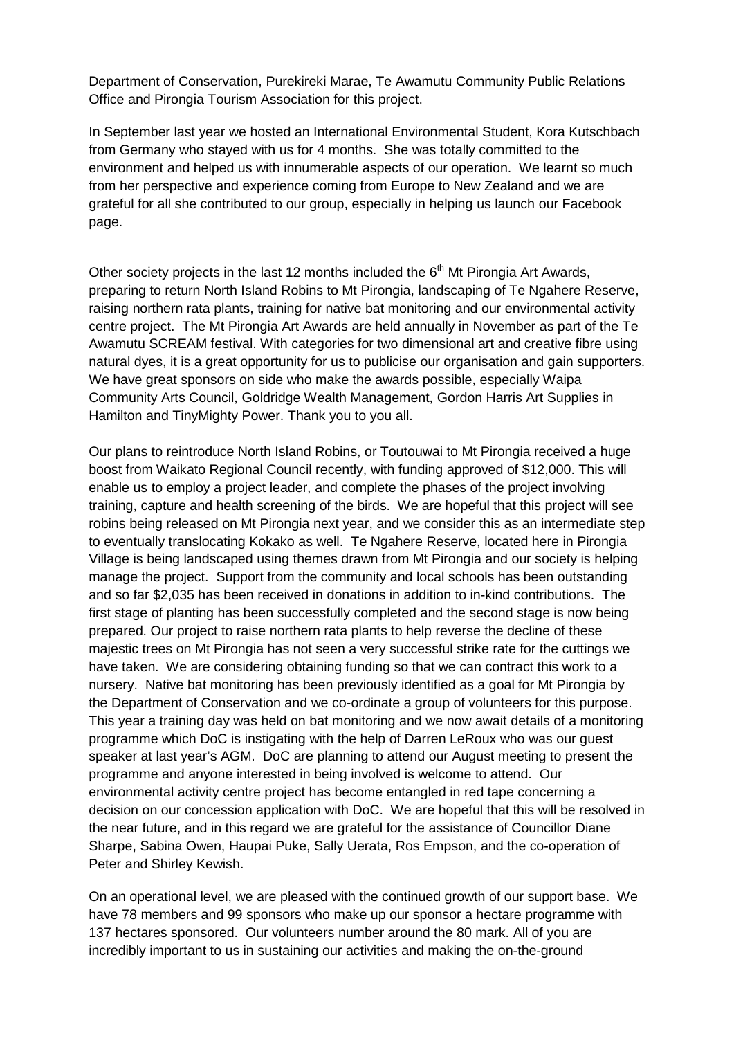Department of Conservation, Purekireki Marae, Te Awamutu Community Public Relations Office and Pirongia Tourism Association for this project.

In September last year we hosted an International Environmental Student, Kora Kutschbach from Germany who stayed with us for 4 months. She was totally committed to the environment and helped us with innumerable aspects of our operation. We learnt so much from her perspective and experience coming from Europe to New Zealand and we are grateful for all she contributed to our group, especially in helping us launch our Facebook page.

Other society projects in the last 12 months included the  $6<sup>th</sup>$  Mt Pirongia Art Awards, preparing to return North Island Robins to Mt Pirongia, landscaping of Te Ngahere Reserve, raising northern rata plants, training for native bat monitoring and our environmental activity centre project. The Mt Pirongia Art Awards are held annually in November as part of the Te Awamutu SCREAM festival. With categories for two dimensional art and creative fibre using natural dyes, it is a great opportunity for us to publicise our organisation and gain supporters. We have great sponsors on side who make the awards possible, especially Waipa Community Arts Council, Goldridge Wealth Management, Gordon Harris Art Supplies in Hamilton and TinyMighty Power. Thank you to you all.

Our plans to reintroduce North Island Robins, or Toutouwai to Mt Pirongia received a huge boost from Waikato Regional Council recently, with funding approved of \$12,000. This will enable us to employ a project leader, and complete the phases of the project involving training, capture and health screening of the birds. We are hopeful that this project will see robins being released on Mt Pirongia next year, and we consider this as an intermediate step to eventually translocating Kokako as well. Te Ngahere Reserve, located here in Pirongia Village is being landscaped using themes drawn from Mt Pirongia and our society is helping manage the project. Support from the community and local schools has been outstanding and so far \$2,035 has been received in donations in addition to in-kind contributions. The first stage of planting has been successfully completed and the second stage is now being prepared. Our project to raise northern rata plants to help reverse the decline of these majestic trees on Mt Pirongia has not seen a very successful strike rate for the cuttings we have taken. We are considering obtaining funding so that we can contract this work to a nursery. Native bat monitoring has been previously identified as a goal for Mt Pirongia by the Department of Conservation and we co-ordinate a group of volunteers for this purpose. This year a training day was held on bat monitoring and we now await details of a monitoring programme which DoC is instigating with the help of Darren LeRoux who was our guest speaker at last year's AGM. DoC are planning to attend our August meeting to present the programme and anyone interested in being involved is welcome to attend. Our environmental activity centre project has become entangled in red tape concerning a decision on our concession application with DoC. We are hopeful that this will be resolved in the near future, and in this regard we are grateful for the assistance of Councillor Diane Sharpe, Sabina Owen, Haupai Puke, Sally Uerata, Ros Empson, and the co-operation of Peter and Shirley Kewish.

On an operational level, we are pleased with the continued growth of our support base. We have 78 members and 99 sponsors who make up our sponsor a hectare programme with 137 hectares sponsored. Our volunteers number around the 80 mark. All of you are incredibly important to us in sustaining our activities and making the on-the-ground